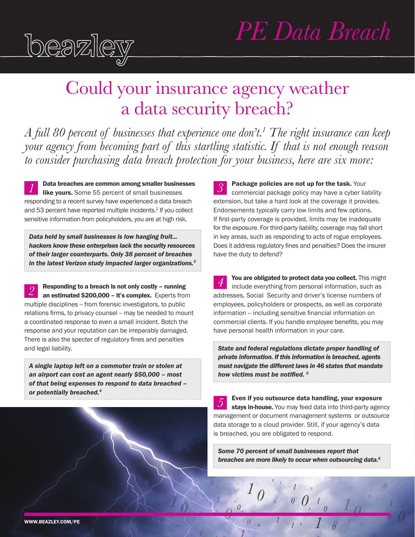

*1*

# *PE Data Breach*

# Could your insurance agency weather a data security breach?

*A full 80 percent of businesses that experience one don't.1 The right insurance can keep your agency from becoming part of this startling statistic. If that is not enough reason to consider purchasing data breach protection for your business, here are six more:* 

*3* Data breaches are common among smaller businesses d Data breaches are common among smaller businesses<br>ike yours. Some 55 percent of small businesses responding to a recent survey have experienced a data breach and 53 percent have reported multiple incidents.<sup>2</sup> If you collect sensitive information from policyholders, you are at high risk.

*Data held by small businesses is low hanging fruit... hackers know these enterprises lack the security resources of their larger counterparts. Only 38 percent of breaches in the latest Verizon study impacted larger organizations.3*

Responding to a breach is not only costly – running an estimated \$200,000 – it's complex. Experts from multiple disciplines -- from forensic investigators, to public relations firms, to privacy counsel -- may be needed to mount a coordinated response to even a small incident. Botch the response and your reputation can be irreparably damaged. There is also the specter of regulatory fines and penalties and legal liability. *2*

*A single laptop left on a commuter train or stolen at an airport can cost an agent nearly \$50,000 – most of that being expenses to respond to data breached – or potentially breached.4* 

Package policies are not up for the task. Your commercial package policy may have a cyber liability extension, but take a hard look at the coverage it provides. Endorsements typically carry low limits and few options. If first-party coverage is provided, limits may be inadequate for the exposure. For third-party liability, coverage may fall short in key areas, such as responding to acts of rogue employees. Does it address regulatory fines and penalties? Does the insurer have the duty to defend?

You are obligated to protect data you collect. This might include everything from personal information, such as addresses, Social Security and driver's license numbers of employees, policyholders or prospects, as well as corporate information -- including sensitive financial information on commercial clients. If you handle employee benefits, you may have personal health information in your care. *4*

*State and federal regulations dictate proper handling of private information. If this information is breached, agents must navigate the different laws in 46 states that mandate how victims must be notified. <sup>5</sup>*

Even if you outsource data handling, your exposure stays in-house. You may feed data into third-party agency management or document management systems or outsource data storage to a cloud provider. Still, if your agency's data is breached, you are obligated to respond. *5*

*Some 70 percent of small businesses report that breaches are more likely to occur when outsourcing data.6*